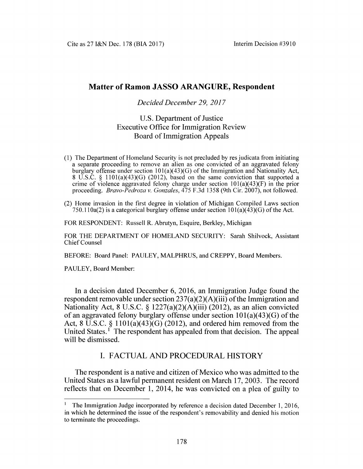# **Matter of Ramon JASSO ARANGURE, Respondent**

### *Decided December 29, 2017*

# U.S. Department of Justice Executive Office for Immigration Review Board of Immigration Appeals

- **(1) The Department of Homeland Security is not precluded by res judicata from initiating a separate proceeding to remove an alien as one convicted of an aggravated felony burglary offense under section 101 (a)(43)(G) of the Immigration and Nationality Act, 8 U.S.C. § 1101 (a)(43)(G) (2012), based on the same conviction that supported a crime of violence aggravated felony charge under section 101(a)(43)(F) in the prior proceeding.** *Bravo-Pedroza v. Gonzales,* **475 F.3d 1358 (9th Cir. 2007), not followed.**
- **(2) Home invasion in the first degree in violation of Michigan Compiled Laws section 750.110a(2) is a categorical burglary offense under section 101(a)(43)(G) of the Act.**

**FOR RESPONDENT: Russell R. Abrutyn, Esquire, Berkley, Michigan**

**FOR THE DEPARTMENT OF HOMELAND SECURITY: Sarah Shilvock, Assistant Chief Counsel**

**BEFORE: Board Panel: PAULEY, MALPHRUS, and CREPPY, Board Members.**

**PAULEY, Board Member:**

In a decision dated December 6, 2016, an Immigration Judge found the respondent removable under section  $237(a)(2)(A)(iii)$  of the Immigration and Nationality Act, 8 U.S.C. § 1227(a)(2)(A)(iii) (2012), as an alien convicted of an aggravated felony burglary offense under section  $101(a)(43)(G)$  of the Act, 8 U.S.C. § 1101(a)(43)(G) (2012), and ordered him removed from the United States.<sup>1</sup> The respondent has appealed from that decision. The appeal will be dismissed.

## **I. FACTUAL AND PROCEDURAL HISTORY**

The respondent is a native and citizen of Mexico who was admitted to the United States as a lawful permanent resident on March 17, 2003. The record reflects that on December 1, 2014, he was convicted on a plea of guilty to

**<sup>1</sup> The Immigration Judge incorporated by reference a decision dated December 1, 2016, in which he determined the issue of the respondent's removability and denied his motion to terminate the proceedings.**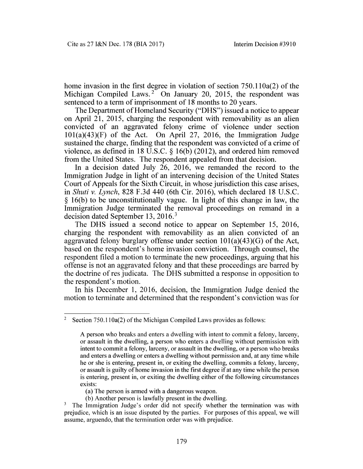home invasion in the first degree in violation of section 750.110a(2) of the Michigan Compiled Laws.<sup>2</sup> On January 20, 2015, the respondent was sentenced to a term of imprisonment of 18 months to 20 years.

The Department of Homeland Security ("DHS") issued a notice to appear on April 21, 2015, charging the respondent with removability as an alien convicted of an aggravated felony crime of violence under section  $101(a)(43)(F)$  of the Act. On April 27, 2016, the Immigration Judge sustained the charge, finding that the respondent was convicted of a crime of violence, as defined in 18 U.S.C. § 16(b) (2012), and ordered him removed from the United States. The respondent appealed from that decision.

In a decision dated July 26, 2016, we remanded the record to the Immigration Judge in light of an intervening decision of the United States Court of Appeals for the Sixth Circuit, in whose jurisdiction this case arises, in *Shuti* v. *Lynch*, 828 F.3d 440 (6th Cir. 2016), which declared 18 U.S.C. § 16(b) to be unconstitutionally vague. In light of this change in law, the Immigration Judge terminated the removal proceedings on remand in a decision dated September 13, 2016.3

The DHS issued a second notice to appear on September 15, 2016, charging the respondent with removability as an alien convicted of an aggravated felony burglary offense under section  $101(a)(43)(G)$  of the Act, based on the respondent's home invasion conviction. Through counsel, the respondent filed a motion to terminate the new proceedings, arguing that his offense is not an aggravated felony and that these proceedings are barred by the doctrine of res judicata. The DHS submitted a response in opposition to the respondent's motion.

In his December 1, 2016, decision, the Immigration Judge denied the motion to terminate and determined that the respondent's conviction was for

**(a) The person is armed with a dangerous weapon.**

**(b) Another person is lawfully present in the dwelling.**

**<sup>2</sup> Section 750.110a(2) of the Michigan Compiled Laws provides as follows:**

**A person who breaks and enters a dwelling with intent to commit a felony, larceny, or assault in the dwelling, a person who enters a dwelling without permission with intent to commit a felony, larceny, or assault in the dwelling, or a person who breaks and enters a dwelling or enters a dwelling without permission and, at any time while he or she is entering, present in, or exiting the dwelling, commits a felony, larceny,** or assault is guilty of home invasion in the first degree if at any time while the person **is entering, present in, or exiting the dwelling either of the following circumstances exists:**

**<sup>3</sup> The Immigration Judge's order did not specify whether the termination was with prejudice, which is an issue disputed by the parties. For purposes of this appeal, we will assume, arguendo, that the termination order was with prejudice.**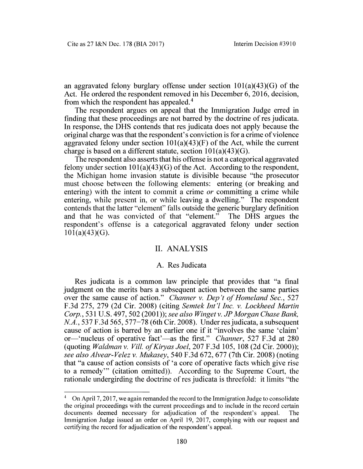an aggravated felony burglary offense under section 101(a)(43)(G) of the Act. He ordered the respondent removed in his December 6, 2016, decision, from which the respondent has appealed.4

The respondent argues on appeal that the Immigration Judge erred in finding that these proceedings are not barred by the doctrine of res judicata. In response, the DHS contends that res judicata does not apply because the original charge was that the respondent's conviction is for a crime of violence aggravated felony under section  $101(a)(43)(F)$  of the Act, while the current charge is based on a different statute, section  $101(a)(43)(G)$ .

The respondent also asserts that his offense is not a categorical aggravated felony under section  $101(a)(43)(G)$  of the Act. According to the respondent, the Michigan home invasion statute is divisible because "the prosecutor must choose between the following elements: entering (or breaking and entering) with the intent to commit a crime *or* committing a crime while entering, while present in, or while leaving a dwelling." The respondent contends that the latter "element" falls outside the generic burglary definition and that he was convicted of that "element." The DHS argues the respondent's offense is a categorical aggravated felony under section  $101(a)(43)(G)$ .

### II. ANALYSIS

#### A. Res Judicata

Res judicata is a common law principle that provides that "a final judgment on the merits bars a subsequent action between the same parties over the same cause of action." *Charmer* v. *Dep't of Homeland Sec.,* 527 F.3d 275, 279 (2d Cir. 2008) (citing *Semtek Int'I Inc.* v. *Lockheed Martin Corp.*, 531 U.S. 497, 502 (2001)); *see also Winget* v. *JP Morgan Chase Bank, N.A.,* 537 F.3d 565, 577-78 (6th Cir. 2008). Under res judicata, a subsequent cause of action is barred by an earlier one if it "involves the same 'claim' or—'nucleus of operative fact'—as the first." *Channer,* 527 F.3d at 280 (quoting *Waldman* v. *Vill. o/KiryasJoel,* 207 F.3d 105, 108 (2d Cir. 2000)); *see also Alvear-Velez* v. *Mukasey,* 540 F.3d 672, 677 (7th Cir. 2008) (noting that "a cause of action consists of 'a core of operative facts which give rise to a remedy'" (citation omitted)). According to the Supreme Court, the rationale undergirding the doctrine of res judicata is threefold: it limits "the

**<sup>4</sup> On April 7,2017, we again remanded the record to the Immigration Judge to consolidate the original proceedings with the current proceedings and to include in the record certain documents deemed necessary for adjudication of the respondent's appeal. The Immigration Judge issued an order on April 19, 2017, complying with our request and certifying the record for adjudication of the respondent's appeal.**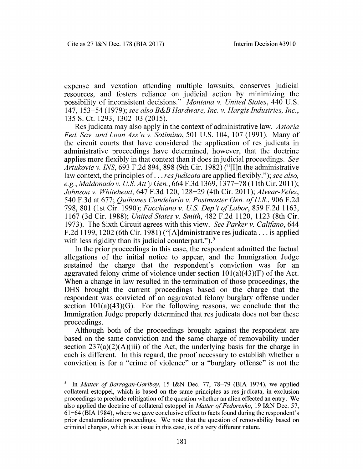expense and vexation attending multiple lawsuits, conserves judicial resources, and fosters reliance on judicial action by minimizing the possibility of inconsistent decisions." *Montana* v. *United States,* 440 U.S. 147, 153-54 (1979); *see also B&B Hardware, Inc.* v. *Hargis Industries, Inc.,* 135 S. Ct. 1293, 1302-03 (2015).

Res judicata may also apply in the context of administrative law. *Astoria Fed. Sav. and Loan Ass'n* v. *Solimino,* 501 U.S. 104, 107 (1991). Many of the circuit courts that have considered the application of res judicata in administrative proceedings have determined, however, that the doctrine applies more flexibly in that context than it does injudicial proceedings. *See Artukovic v. INS,* 693 F.2d 894, 898 (9th Cir. 1982) ("[I]n the administrative law context, the principles of... *res judicata* are applied flexibly."); *see also, e.g, Maldonado* v. *U.S. Att'y Gen.,* 664 F.3d 1369,1377-78 (11th Cir. 2011); *Johnson* v. *Whitehead,* 647 F.3d 120, 128-29 (4th Cir. 2011); *Alvear-Velez,* 540 F.3d at 677; *Quiñones Candelario* v. Postmaster Gen. of U.S., 906 F.2d 798, 801 (1st Cir. 1990); *Facchiano* v. *U.S. Dep't of Labor,* 859 F.2d 1163, 1167 (3d Cir. 1988); *United States* v. *Smith,* 482 F.2d 1120, 1123 (8th Cir. 1973). The Sixth Circuit agrees with this view. *See Parker* v. *Califano,* 644 F.2d 1199, 1202 (6th Cir. 1981) ("[A]dministrative res judicata... is applied with less rigidity than its judicial counterpart." $)$ .<sup>5</sup>

In the prior proceedings in this case, the respondent admitted the factual allegations of the initial notice to appear, and the Immigration Judge sustained the charge that the respondent's conviction was for an aggravated felony crime of violence under section  $101(a)(43)(F)$  of the Act. When a change in law resulted in the termination of those proceedings, the DHS brought the current proceedings based on the charge that the respondent was convicted of an aggravated felony burglary offense under section  $101(a)(43)(G)$ . For the following reasons, we conclude that the Immigration Judge properly determined that res judicata does not bar these proceedings.

Although both of the proceedings brought against the respondent are based on the same conviction and the same charge of removability under section  $237(a)(2)(A)(iii)$  of the Act, the underlying basis for the charge in each is different. In this regard, the proof necessary to establish whether a conviction is for a "crime of violence" or a "burglary offense" is not the

**<sup>5</sup> In** *Matter of Barragan-Garibay,* **15 I&N Dec. 77, 78-79 (BIA 1974), we applied collateral estoppel, which is based on the same principles as res judicata, in exclusion proceedings to preclude relitigation of the question whether an alien effected an entry. We also applied the doctrine of collateral estoppel in** *Matter of Fedorenko,* **19 I&N Dec. 57, 61 -6 4 (BIA 1984), where we gave conclusive effect to facts found during the respondent's** prior denaturalization proceedings. We note that the question of removability based on criminal charges, which is at issue in this case, is of a very different nature.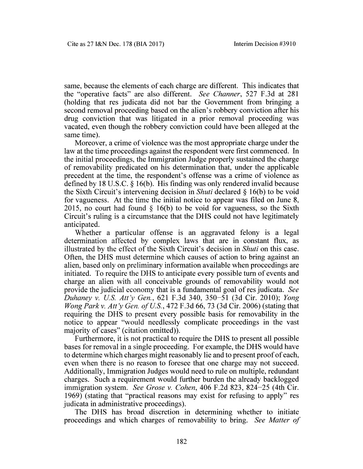same, because the elements of each charge are different. This indicates that the "operative facts" are also different. *See Channer,* 527 F.3d at 281 (holding that res judicata did not bar the Government from bringing a second removal proceeding based on the alien's robbery conviction after his drug conviction that was litigated in a prior removal proceeding was vacated, even though the robbery conviction could have been alleged at the same time).

Moreover, a crime of violence was the most appropriate charge under the law at the time proceedings against the respondent were first commenced. In the initial proceedings, the Immigration Judge properly sustained the charge of removability predicated on his determination that, under the applicable precedent at the time, the respondent's offense was a crime of violence as defined by 18 U.S.C. § 16(b). His finding was only rendered invalid because the Sixth Circuit's intervening decision in *Shuti* declared § 16(b) to be void for vagueness. At the time the initial notice to appear was filed on June 8, 2015, no court had found  $\S$  16(b) to be void for vagueness, so the Sixth Circuit's ruling is a circumstance that the DHS could not have legitimately anticipated.

Whether a particular offense is an aggravated felony is a legal determination affected by complex laws that are in constant flux, as illustrated by the effect of the Sixth Circuit's decision in *Shuti* on this case. Often, the DHS must determine which causes of action to bring against an alien, based only on preliminary information available when proceedings are initiated. To require the DHS to anticipate every possible turn of events and charge an alien with all conceivable grounds of removability would not provide the judicial economy that is a fundamental goal of res judicata. *See Duhaney* v. *U.S. A tt'y Gen.,* 621 F.3d 340, 350-51 (3d Cir. 2010); *Yong Wong Park v. A tt'y Gen. of U.S.*, 472 F.3d 66, 73 (3d Cir. 2006) (stating that requiring the DHS to present every possible basis for removability in the notice to appear "would needlessly complicate proceedings in the vast majority of cases" (citation omitted)).

Furthermore, it is not practical to require the DHS to present all possible bases for removal in a single proceeding. For example, the DHS would have to determine which charges might reasonably lie and to present proof of each, even when there is no reason to foresee that one charge may not succeed. Additionally, Immigration Judges would need to rule on multiple, redundant charges. Such a requirement would further burden the already backlogged immigration system. *See Grose* v. *Cohen,* 406 F.2d 823, 824-25 (4th Cir. 1969) (stating that "practical reasons may exist for refusing to apply" res judicata in administrative proceedings).

The DHS has broad discretion in determining whether to initiate proceedings and which charges of removability to bring. *See Matter of*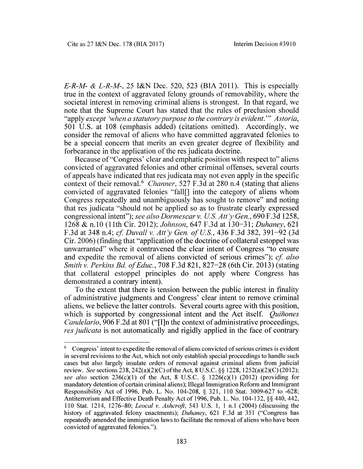*E-R-M- & L-R-M-,* 25 I&N Dec. 520, 523 (BIA 2011). This is especially true in the context of aggravated felony grounds of removability, where the societal interest in removing criminal aliens is strongest. In that regard, we note that the Supreme Court has stated that the rules of preclusion should "apply *except 'when a statutory purpose to the contrary is evident*.'" *Astoria,* 501 U.S. at 108 (emphasis added) (citations omitted). Accordingly, we consider the removal of aliens who have committed aggravated felonies to be a special concern that merits an even greater degree of flexibility and forbearance in the application of the res judicata doctrine.

Because of "Congress' clear and emphatic position with respect to" aliens convicted of aggravated felonies and other criminal offenses, several courts of appeals have indicated that res judicata may not even apply in the specific context of their removal.6 *Channer,* 527 F.3d at 280 n.4 (stating that aliens convicted of aggravated felonies "fall[] into the category of aliens whom Congress repeatedly and unambiguously has sought to remove" and noting that res judicata "should not be applied so as to frustrate clearly expressed congressional intent"); *see also Dormescar* v. *U.S. Att 'y Gen.,* 690 F.3d 1258, 1268 & n.10 (11th Cir. 2012); *Johnson,* 647 F.3d at 130-31; *Duhaney,* 621 F.3d at 348 n.4; *cf. Duvall v. A tt'y Gen. of U.S.,* 436 F.3d 382, 391-92 (3d Cir. 2006) (finding that "application of the doctrine of collateral estoppel was unwarranted" where it contravened the clear intent of Congress "to ensure and expedite the removal of aliens convicted of serious crimes"); *cf. also Smith* v. *Perkins Bd. of Educ.*, 708 F.3d 821, 827–28 (6th Cir. 2013) (stating that collateral estoppel principles do not apply where Congress has demonstrated a contrary intent).

To the extent that there is tension between the public interest in finality of administrative judgments and Congress' clear intent to remove criminal aliens, we believe the latter controls. Several courts agree with this position, which is supported by congressional intent and the Act itself. *Quinones Candelario,* 906 F.2d at 801 ("[I]n the context of administrative proceedings, *res judicata* is not automatically and rigidly applied in the face of contrary

**<sup>6</sup> Congress' intent to expedite the removal of aliens convicted of serious crimes is evident in several revisions to the Act, which not only establish special proceedings to handle such cases but also largely insulate orders of removal against criminal aliens from judicial review.** *See* **sections 238,242(a)(2)(C) of the Act, 8 U.S.C. §§ 1228,1252(a)(2)(C) (2012);** *see also* section  $236(c)(1)$  of the Act, 8 U.S.C. § 1226(c)(1) (2012) (providing for **mandatory detention of certain criminal aliens); Illegal Immigration Reform and Immigrant Responsibility Act of 1996, Pub. L. No. 104-208, § 321, 110 Stat. 3009-627 to -628; Antiterrorism and Effective Death Penalty Act of 1996, Pub. L. No. 104-132, §§ 440, 442, 110 Stat. 1214, 1276-80;** *Leocal v. Ashcroft,* **543 U.S. 1, 1 n.l (2004) (discussing the** history of aggravated felony enactments); *Duhaney*, 621 F.3d at 351 ("Congress has **repeatedly amended the immigration laws to facilitate the removal of aliens who have been** convicted of aggravated felonies.").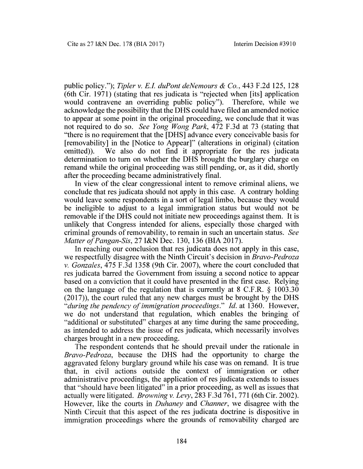public policy."); *Tipler* v. *E.I. duPont deNemours & Co.,* 443 F.2d 125, 128 (6th Cir. 1971) (stating that res judicata is "rejected when [its] application would contravene an overriding public policy"). Therefore, while we acknowledge the possibility that the DHS could have filed an amended notice to appear at some point in the original proceeding, we conclude that it was not required to do so. *See Yong Wong Park,* 472 F.3d at 73 (stating that "there is no requirement that the [DHS] advance every conceivable basis for [removability] in the [Notice to Appear]" (alterations in original) (citation omitted)). We also do not find it appropriate for the res judicata determination to turn on whether the DHS brought the burglary charge on remand while the original proceeding was still pending, or, as it did, shortly after the proceeding became administratively final.

In view of the clear congressional intent to remove criminal aliens, we conclude that res judicata should not apply in this case. A contrary holding would leave some respondents in a sort of legal limbo, because they would be ineligible to adjust to a legal immigration status but would not be removable if the DHS could not initiate new proceedings against them. It is unlikely that Congress intended for aliens, especially those charged with criminal grounds of removability, to remain in such an uncertain status. *See Matter of Pangan-Sis,* 27 I&N Dec. 130, 136 (BIA 2017).

In reaching our conclusion that res judicata does not apply in this case, we respectfully disagree with the Ninth Circuit's decision in *Bravo-Pedroza* v. *Gonzales,* 475 F.3d 1358 (9th Cir. 2007), where the court concluded that res judicata barred the Government from issuing a second notice to appear based on a conviction that it could have presented in the first case. Relying on the language of the regulation that is currently at 8 C.F.R. § 1003.30 (2017)), the court ruled that any new charges must be brought by the DHS *"during the pendency of immigration proceedings*." *Id.* at 1360. However, we do not understand that regulation, which enables the bringing of "additional or substituted" charges at any time during the same proceeding, as intended to address the issue of res judicata, which necessarily involves charges brought in a new proceeding.

The respondent contends that he should prevail under the rationale in *Bravo-Pedroza,* because the DHS had the opportunity to charge the aggravated felony burglary ground while his case was on remand. It is true that, in civil actions outside the context of immigration or other administrative proceedings, the application of res judicata extends to issues that "should have been litigated" in a prior proceeding, as well as issues that actually were litigated. *Browning* v. *Levy,* 283 F.3d 761, 771 (6th Cir. 2002). However, like the courts in *Duhaney* and *Channer,* we disagree with the Ninth Circuit that this aspect of the res judicata doctrine is dispositive in immigration proceedings where the grounds of removability charged are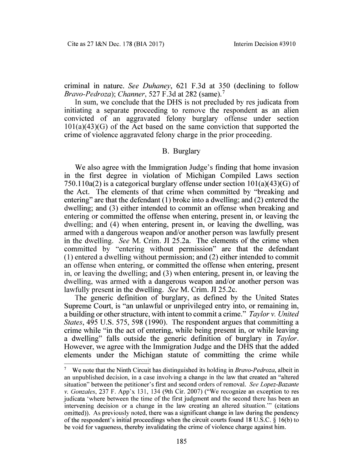criminal in nature. *See Duhaney,* 621 F.3d at 350 (declining to follow *Bravo-Pedroza*); *Channer,* 527 F.3d at 282 (same).7

In sum, we conclude that the DHS is not precluded by res judicata from initiating a separate proceeding to remove the respondent as an alien convicted of an aggravated felony burglary offense under section  $101(a)(43)(G)$  of the Act based on the same conviction that supported the crime of violence aggravated felony charge in the prior proceeding.

### B. Burglary

We also agree with the Immigration Judge's finding that home invasion in the first degree in violation of Michigan Compiled Laws section 750.110a(2) is a categorical burglary offense under section  $101(a)(43)(G)$  of the Act. The elements of that crime when committed by "breaking and entering" are that the defendant (1) broke into a dwelling; and (2) entered the dwelling; and (3) either intended to commit an offense when breaking and entering or committed the offense when entering, present in, or leaving the dwelling; and (4) when entering, present in, or leaving the dwelling, was armed with a dangerous weapon and/or another person was lawfully present in the dwelling. *See* M. Crim. JI 25.2a. The elements of the crime when committed by "entering without permission" are that the defendant (1) entered a dwelling without permission; and (2) either intended to commit an offense when entering, or committed the offense when entering, present in, or leaving the dwelling; and (3) when entering, present in, or leaving the dwelling, was armed with a dangerous weapon and/or another person was lawfully present in the dwelling. *See* M. Crim. JI 25.2c.

The generic definition of burglary, as defined by the United States Supreme Court, is "an unlawful or unprivileged entry into, or remaining in, a building or other structure, with intent to commit a crime." *Taylor* v. *United States,* 495 U.S. 575, 598 (1990). The respondent argues that committing a crime while "in the act of entering, while being present in, or while leaving a dwelling" falls outside the generic definition of burglary in *Taylor.* However, we agree with the Immigration Judge and the DHS that the added elements under the Michigan statute of committing the crime while

**<sup>7</sup> We note that the Ninth Circuit has distinguished its holding in** *Bravo-Pedroza,* **albeit in an unpublished decision, in a case involving a change in the law that created an "altered situation" between the petitioner's first and second orders of removal.** *See Lopez-Bazante* **v.** *Gonzales,* **237 F. App'x 131, 134 (9th Cir. 2007) ("We recognize an exception to res judicata 'where between the time of the first judgment and the second there has been an intervening decision or a change in the law creating an altered situation.'" (citations omitted)). As previously noted, there was a significant change in law during the pendency of the respondent's initial proceedings when the circuit courts found 18 U.S.C. § 16(b) to be void for vagueness, thereby invalidating the crime of violence charge against him.**